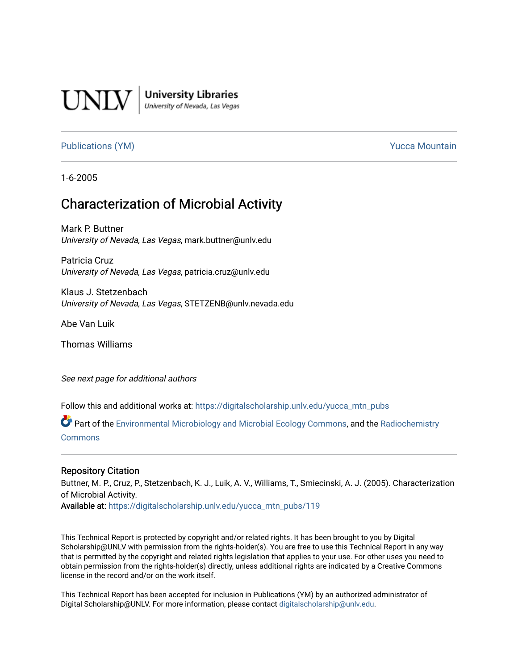

**University Libraries**<br>University of Nevada, Las Vegas

# [Publications \(YM\)](https://digitalscholarship.unlv.edu/yucca_mtn_pubs) **Publications (YM) Publications (YM) Publications** (*YM*)

1-6-2005

# Characterization of Microbial Activity

Mark P. Buttner University of Nevada, Las Vegas, mark.buttner@unlv.edu

Patricia Cruz University of Nevada, Las Vegas, patricia.cruz@unlv.edu

Klaus J. Stetzenbach University of Nevada, Las Vegas, STETZENB@unlv.nevada.edu

Abe Van Luik

Thomas Williams

See next page for additional authors

Follow this and additional works at: [https://digitalscholarship.unlv.edu/yucca\\_mtn\\_pubs](https://digitalscholarship.unlv.edu/yucca_mtn_pubs?utm_source=digitalscholarship.unlv.edu%2Fyucca_mtn_pubs%2F119&utm_medium=PDF&utm_campaign=PDFCoverPages)

Part of the [Environmental Microbiology and Microbial Ecology Commons,](http://network.bepress.com/hgg/discipline/50?utm_source=digitalscholarship.unlv.edu%2Fyucca_mtn_pubs%2F119&utm_medium=PDF&utm_campaign=PDFCoverPages) and the [Radiochemistry](http://network.bepress.com/hgg/discipline/1196?utm_source=digitalscholarship.unlv.edu%2Fyucca_mtn_pubs%2F119&utm_medium=PDF&utm_campaign=PDFCoverPages) [Commons](http://network.bepress.com/hgg/discipline/1196?utm_source=digitalscholarship.unlv.edu%2Fyucca_mtn_pubs%2F119&utm_medium=PDF&utm_campaign=PDFCoverPages)

#### Repository Citation

Buttner, M. P., Cruz, P., Stetzenbach, K. J., Luik, A. V., Williams, T., Smiecinski, A. J. (2005). Characterization of Microbial Activity.

Available at: [https://digitalscholarship.unlv.edu/yucca\\_mtn\\_pubs/119](https://digitalscholarship.unlv.edu/yucca_mtn_pubs/119) 

This Technical Report is protected by copyright and/or related rights. It has been brought to you by Digital Scholarship@UNLV with permission from the rights-holder(s). You are free to use this Technical Report in any way that is permitted by the copyright and related rights legislation that applies to your use. For other uses you need to obtain permission from the rights-holder(s) directly, unless additional rights are indicated by a Creative Commons license in the record and/or on the work itself.

This Technical Report has been accepted for inclusion in Publications (YM) by an authorized administrator of Digital Scholarship@UNLV. For more information, please contact [digitalscholarship@unlv.edu](mailto:digitalscholarship@unlv.edu).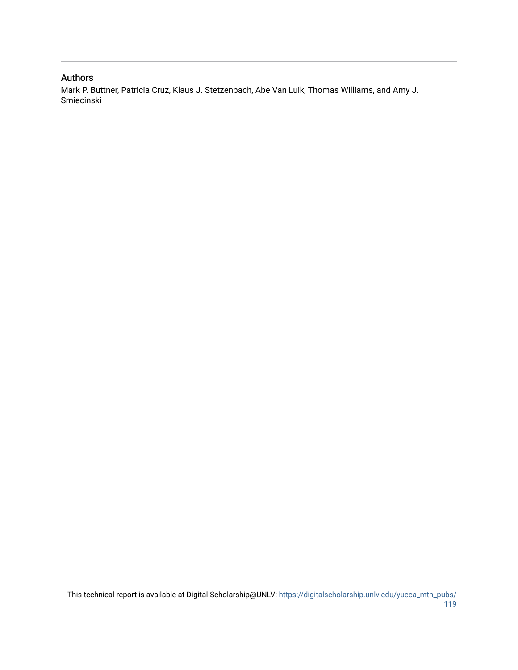### Authors

Mark P. Buttner, Patricia Cruz, Klaus J. Stetzenbach, Abe Van Luik, Thomas Williams, and Amy J. Smiecinski

This technical report is available at Digital Scholarship@UNLV: [https://digitalscholarship.unlv.edu/yucca\\_mtn\\_pubs/](https://digitalscholarship.unlv.edu/yucca_mtn_pubs/119) [119](https://digitalscholarship.unlv.edu/yucca_mtn_pubs/119)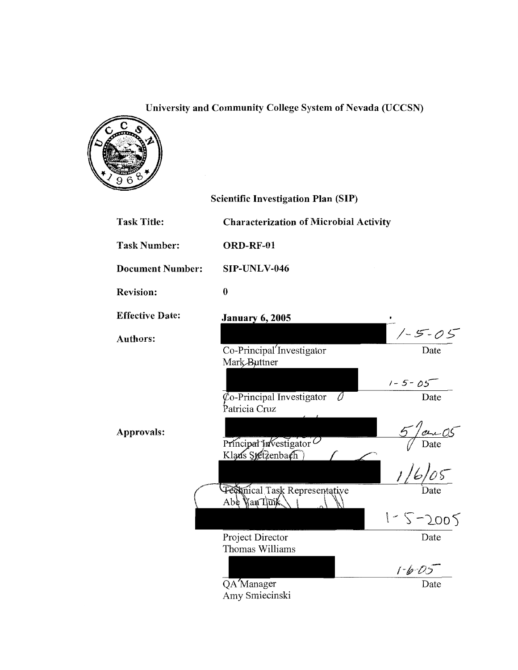# University and Community College System of Nevada (UCCSN)



|                         | <b>Scientific Investigation Plan (SIP)</b>                        |                                               |
|-------------------------|-------------------------------------------------------------------|-----------------------------------------------|
| <b>Task Title:</b>      | <b>Characterization of Microbial Activity</b>                     |                                               |
| <b>Task Number:</b>     | ORD-RF-01                                                         |                                               |
| <b>Document Number:</b> | SIP-UNLV-046                                                      |                                               |
| <b>Revision:</b>        | $\bf{0}$                                                          |                                               |
| <b>Effective Date:</b>  | <b>January 6, 2005</b>                                            |                                               |
| <b>Authors:</b>         | Co-Principal Investigator<br>Mark Buttner                         | $-1 - 5 - 05$<br>Date                         |
|                         | $\phi$ <sub>o</sub> -Principal Investigator<br>0<br>Patricia Cruz | $1 - 5 - 05$<br>Date                          |
| Approvals:              | Principal Investigator<br>Klaus Stetzenbach                       | $\frac{5}{\sqrt{2}}$<br>Date<br>$\frac{1}{6}$ |
|                         | Pechnical Task Representative<br>Abe Wan Tuik                     |                                               |
|                         |                                                                   | $1 - 5 - 2005$                                |
|                         | Project Director<br>Thomas Williams                               | Date                                          |
|                         |                                                                   | $1 - 6 - 0.5$                                 |
|                         | QA Manager<br>Amy Smiecinski                                      | Date                                          |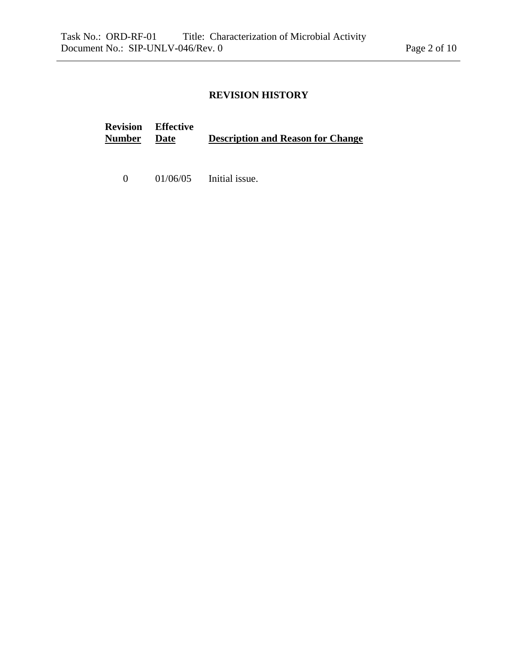# **REVISION HISTORY**

|               | <b>Revision</b> Effective |                                          |
|---------------|---------------------------|------------------------------------------|
| <b>Number</b> | Date                      | <b>Description and Reason for Change</b> |

0 01/06/05 Initial issue.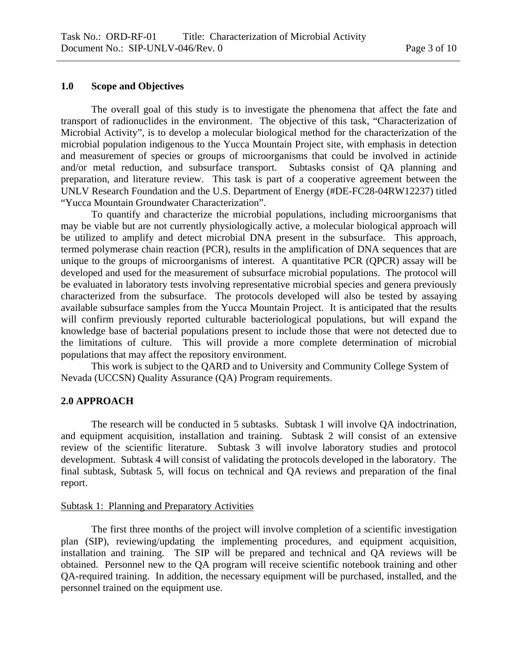# **1.0 Scope and Objectives**

The overall goal of this study is to investigate the phenomena that affect the fate and transport of radionuclides in the environment. The objective of this task, "Characterization of Microbial Activity", is to develop a molecular biological method for the characterization of the microbial population indigenous to the Yucca Mountain Project site, with emphasis in detection and measurement of species or groups of microorganisms that could be involved in actinide and/or metal reduction, and subsurface transport. Subtasks consist of QA planning and preparation, and literature review. This task is part of a cooperative agreement between the UNLV Research Foundation and the U.S. Department of Energy (#DE-FC28-04RW12237) titled "Yucca Mountain Groundwater Characterization".

To quantify and characterize the microbial populations, including microorganisms that may be viable but are not currently physiologically active, a molecular biological approach will be utilized to amplify and detect microbial DNA present in the subsurface. This approach, termed polymerase chain reaction (PCR), results in the amplification of DNA sequences that are unique to the groups of microorganisms of interest. A quantitative PCR (QPCR) assay will be developed and used for the measurement of subsurface microbial populations. The protocol will be evaluated in laboratory tests involving representative microbial species and genera previously characterized from the subsurface. The protocols developed will also be tested by assaying available subsurface samples from the Yucca Mountain Project. It is anticipated that the results will confirm previously reported culturable bacteriological populations, but will expand the knowledge base of bacterial populations present to include those that were not detected due to the limitations of culture. This will provide a more complete determination of microbial populations that may affect the repository environment.

This work is subject to the QARD and to University and Community College System of Nevada (UCCSN) Quality Assurance (QA) Program requirements.

# **2.0 APPROACH**

 The research will be conducted in 5 subtasks. Subtask 1 will involve QA indoctrination, and equipment acquisition, installation and training. Subtask 2 will consist of an extensive review of the scientific literature. Subtask 3 will involve laboratory studies and protocol development. Subtask 4 will consist of validating the protocols developed in the laboratory. The final subtask, Subtask 5, will focus on technical and QA reviews and preparation of the final report.

# Subtask 1: Planning and Preparatory Activities

 The first three months of the project will involve completion of a scientific investigation plan (SIP), reviewing/updating the implementing procedures, and equipment acquisition, installation and training. The SIP will be prepared and technical and QA reviews will be obtained. Personnel new to the QA program will receive scientific notebook training and other QA-required training. In addition, the necessary equipment will be purchased, installed, and the personnel trained on the equipment use.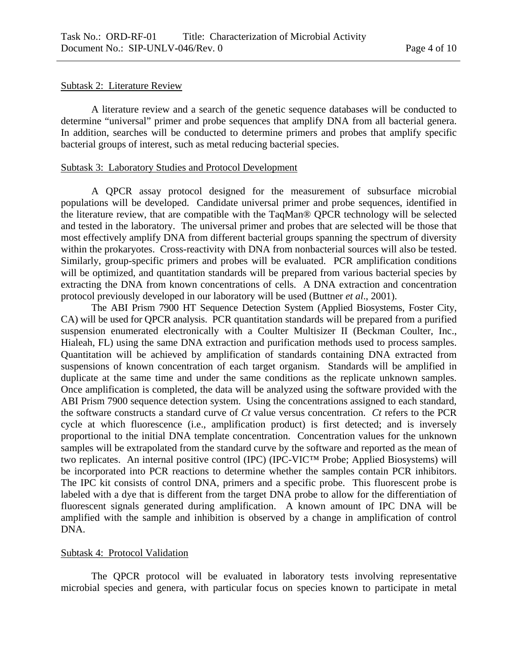#### Subtask 2: Literature Review

 A literature review and a search of the genetic sequence databases will be conducted to determine "universal" primer and probe sequences that amplify DNA from all bacterial genera. In addition, searches will be conducted to determine primers and probes that amplify specific bacterial groups of interest, such as metal reducing bacterial species.

#### Subtask 3: Laboratory Studies and Protocol Development

 A QPCR assay protocol designed for the measurement of subsurface microbial populations will be developed. Candidate universal primer and probe sequences, identified in the literature review, that are compatible with the TaqMan® QPCR technology will be selected and tested in the laboratory. The universal primer and probes that are selected will be those that most effectively amplify DNA from different bacterial groups spanning the spectrum of diversity within the prokaryotes. Cross-reactivity with DNA from nonbacterial sources will also be tested. Similarly, group-specific primers and probes will be evaluated. PCR amplification conditions will be optimized, and quantitation standards will be prepared from various bacterial species by extracting the DNA from known concentrations of cells. A DNA extraction and concentration protocol previously developed in our laboratory will be used (Buttner *et al*., 2001).

 The ABI Prism 7900 HT Sequence Detection System (Applied Biosystems, Foster City, CA) will be used for QPCR analysis. PCR quantitation standards will be prepared from a purified suspension enumerated electronically with a Coulter Multisizer II (Beckman Coulter, Inc., Hialeah, FL) using the same DNA extraction and purification methods used to process samples. Quantitation will be achieved by amplification of standards containing DNA extracted from suspensions of known concentration of each target organism. Standards will be amplified in duplicate at the same time and under the same conditions as the replicate unknown samples. Once amplification is completed, the data will be analyzed using the software provided with the ABI Prism 7900 sequence detection system. Using the concentrations assigned to each standard, the software constructs a standard curve of *Ct* value versus concentration. *Ct* refers to the PCR cycle at which fluorescence (i.e., amplification product) is first detected; and is inversely proportional to the initial DNA template concentration. Concentration values for the unknown samples will be extrapolated from the standard curve by the software and reported as the mean of two replicates. An internal positive control (IPC) (IPC-VIC™ Probe; Applied Biosystems) will be incorporated into PCR reactions to determine whether the samples contain PCR inhibitors. The IPC kit consists of control DNA, primers and a specific probe. This fluorescent probe is labeled with a dye that is different from the target DNA probe to allow for the differentiation of fluorescent signals generated during amplification. A known amount of IPC DNA will be amplified with the sample and inhibition is observed by a change in amplification of control DNA.

# Subtask 4: Protocol Validation

 The QPCR protocol will be evaluated in laboratory tests involving representative microbial species and genera, with particular focus on species known to participate in metal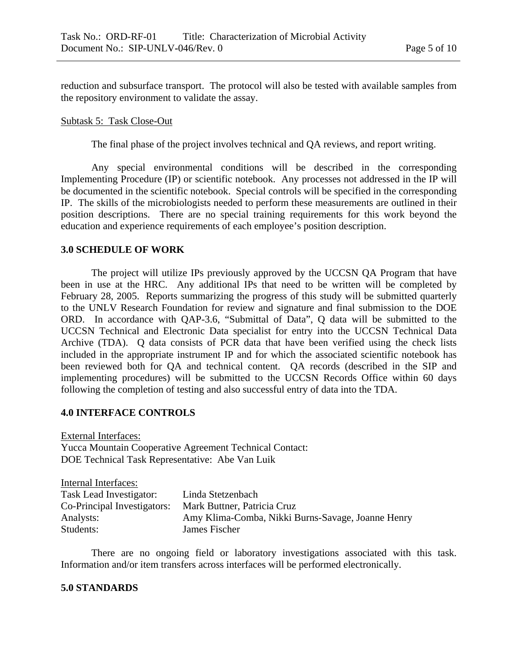reduction and subsurface transport. The protocol will also be tested with available samples from the repository environment to validate the assay.

#### Subtask 5: Task Close-Out

The final phase of the project involves technical and QA reviews, and report writing.

 Any special environmental conditions will be described in the corresponding Implementing Procedure (IP) or scientific notebook. Any processes not addressed in the IP will be documented in the scientific notebook. Special controls will be specified in the corresponding IP. The skills of the microbiologists needed to perform these measurements are outlined in their position descriptions. There are no special training requirements for this work beyond the education and experience requirements of each employee's position description.

### **3.0 SCHEDULE OF WORK**

The project will utilize IPs previously approved by the UCCSN QA Program that have been in use at the HRC. Any additional IPs that need to be written will be completed by February 28, 2005. Reports summarizing the progress of this study will be submitted quarterly to the UNLV Research Foundation for review and signature and final submission to the DOE ORD. In accordance with QAP-3.6, "Submittal of Data", Q data will be submitted to the UCCSN Technical and Electronic Data specialist for entry into the UCCSN Technical Data Archive (TDA). Q data consists of PCR data that have been verified using the check lists included in the appropriate instrument IP and for which the associated scientific notebook has been reviewed both for QA and technical content. QA records (described in the SIP and implementing procedures) will be submitted to the UCCSN Records Office within 60 days following the completion of testing and also successful entry of data into the TDA.

#### **4.0 INTERFACE CONTROLS**

External Interfaces: Yucca Mountain Cooperative Agreement Technical Contact: DOE Technical Task Representative: Abe Van Luik

| Internal Interfaces:        |                                                   |
|-----------------------------|---------------------------------------------------|
| Task Lead Investigator:     | Linda Stetzenbach                                 |
| Co-Principal Investigators: | Mark Buttner, Patricia Cruz                       |
| Analysts:                   | Amy Klima-Comba, Nikki Burns-Savage, Joanne Henry |
| Students:                   | James Fischer                                     |

 There are no ongoing field or laboratory investigations associated with this task. Information and/or item transfers across interfaces will be performed electronically.

#### **5.0 STANDARDS**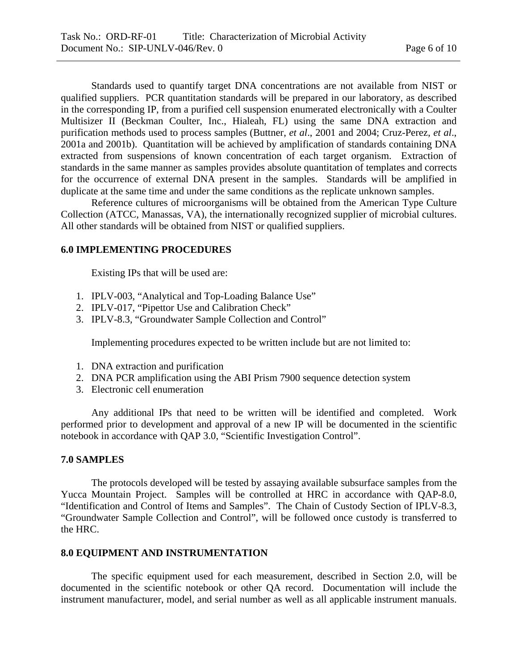Standards used to quantify target DNA concentrations are not available from NIST or qualified suppliers. PCR quantitation standards will be prepared in our laboratory, as described in the corresponding IP, from a purified cell suspension enumerated electronically with a Coulter Multisizer II (Beckman Coulter, Inc., Hialeah, FL) using the same DNA extraction and purification methods used to process samples (Buttner, *et al*., 2001 and 2004; Cruz-Perez, *et al*., 2001a and 2001b). Quantitation will be achieved by amplification of standards containing DNA extracted from suspensions of known concentration of each target organism. Extraction of standards in the same manner as samples provides absolute quantitation of templates and corrects for the occurrence of external DNA present in the samples. Standards will be amplified in duplicate at the same time and under the same conditions as the replicate unknown samples.

 Reference cultures of microorganisms will be obtained from the American Type Culture Collection (ATCC, Manassas, VA), the internationally recognized supplier of microbial cultures. All other standards will be obtained from NIST or qualified suppliers.

### **6.0 IMPLEMENTING PROCEDURES**

Existing IPs that will be used are:

- 1. IPLV-003, "Analytical and Top-Loading Balance Use"
- 2. IPLV-017, "Pipettor Use and Calibration Check"
- 3. IPLV-8.3, "Groundwater Sample Collection and Control"

Implementing procedures expected to be written include but are not limited to:

- 1. DNA extraction and purification
- 2. DNA PCR amplification using the ABI Prism 7900 sequence detection system
- 3. Electronic cell enumeration

Any additional IPs that need to be written will be identified and completed. Work performed prior to development and approval of a new IP will be documented in the scientific notebook in accordance with QAP 3.0, "Scientific Investigation Control".

#### **7.0 SAMPLES**

 The protocols developed will be tested by assaying available subsurface samples from the Yucca Mountain Project. Samples will be controlled at HRC in accordance with QAP-8.0, "Identification and Control of Items and Samples". The Chain of Custody Section of IPLV-8.3, "Groundwater Sample Collection and Control", will be followed once custody is transferred to the HRC.

#### **8.0 EQUIPMENT AND INSTRUMENTATION**

The specific equipment used for each measurement, described in Section 2.0, will be documented in the scientific notebook or other QA record. Documentation will include the instrument manufacturer, model, and serial number as well as all applicable instrument manuals.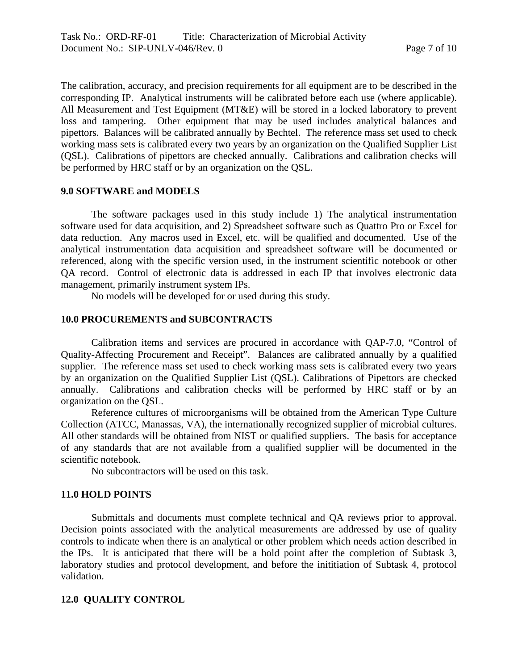The calibration, accuracy, and precision requirements for all equipment are to be described in the corresponding IP. Analytical instruments will be calibrated before each use (where applicable). All Measurement and Test Equipment (MT&E) will be stored in a locked laboratory to prevent loss and tampering. Other equipment that may be used includes analytical balances and pipettors. Balances will be calibrated annually by Bechtel. The reference mass set used to check working mass sets is calibrated every two years by an organization on the Qualified Supplier List (QSL). Calibrations of pipettors are checked annually. Calibrations and calibration checks will be performed by HRC staff or by an organization on the QSL.

### **9.0 SOFTWARE and MODELS**

 The software packages used in this study include 1) The analytical instrumentation software used for data acquisition, and 2) Spreadsheet software such as Quattro Pro or Excel for data reduction. Any macros used in Excel, etc. will be qualified and documented. Use of the analytical instrumentation data acquisition and spreadsheet software will be documented or referenced, along with the specific version used, in the instrument scientific notebook or other QA record. Control of electronic data is addressed in each IP that involves electronic data management, primarily instrument system IPs.

No models will be developed for or used during this study.

#### **10.0 PROCUREMENTS and SUBCONTRACTS**

 Calibration items and services are procured in accordance with QAP-7.0, "Control of Quality-Affecting Procurement and Receipt". Balances are calibrated annually by a qualified supplier. The reference mass set used to check working mass sets is calibrated every two years by an organization on the Qualified Supplier List (QSL). Calibrations of Pipettors are checked annually. Calibrations and calibration checks will be performed by HRC staff or by an organization on the QSL.

 Reference cultures of microorganisms will be obtained from the American Type Culture Collection (ATCC, Manassas, VA), the internationally recognized supplier of microbial cultures. All other standards will be obtained from NIST or qualified suppliers. The basis for acceptance of any standards that are not available from a qualified supplier will be documented in the scientific notebook.

No subcontractors will be used on this task.

### **11.0 HOLD POINTS**

Submittals and documents must complete technical and QA reviews prior to approval. Decision points associated with the analytical measurements are addressed by use of quality controls to indicate when there is an analytical or other problem which needs action described in the IPs. It is anticipated that there will be a hold point after the completion of Subtask 3, laboratory studies and protocol development, and before the inititiation of Subtask 4, protocol validation.

#### **12.0 QUALITY CONTROL**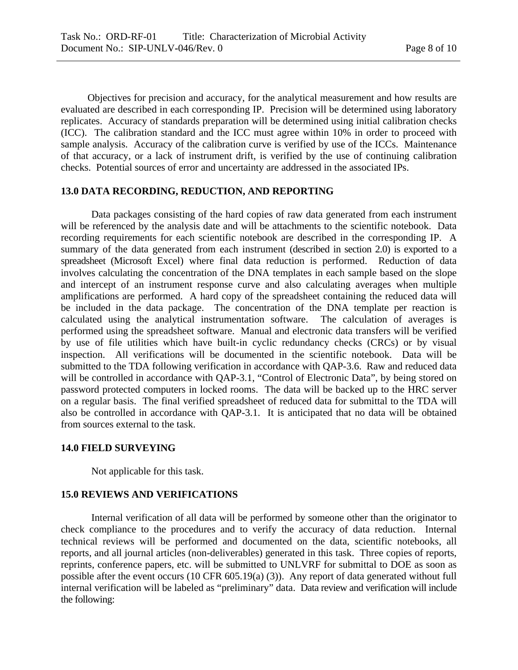Objectives for precision and accuracy, for the analytical measurement and how results are evaluated are described in each corresponding IP. Precision will be determined using laboratory replicates. Accuracy of standards preparation will be determined using initial calibration checks (ICC). The calibration standard and the ICC must agree within 10% in order to proceed with sample analysis. Accuracy of the calibration curve is verified by use of the ICCs. Maintenance of that accuracy, or a lack of instrument drift, is verified by the use of continuing calibration checks. Potential sources of error and uncertainty are addressed in the associated IPs.

# **13.0 DATA RECORDING, REDUCTION, AND REPORTING**

Data packages consisting of the hard copies of raw data generated from each instrument will be referenced by the analysis date and will be attachments to the scientific notebook. Data recording requirements for each scientific notebook are described in the corresponding IP. A summary of the data generated from each instrument (described in section 2.0) is exported to a spreadsheet (Microsoft Excel) where final data reduction is performed. Reduction of data involves calculating the concentration of the DNA templates in each sample based on the slope and intercept of an instrument response curve and also calculating averages when multiple amplifications are performed. A hard copy of the spreadsheet containing the reduced data will be included in the data package. The concentration of the DNA template per reaction is calculated using the analytical instrumentation software. The calculation of averages is performed using the spreadsheet software. Manual and electronic data transfers will be verified by use of file utilities which have built-in cyclic redundancy checks (CRCs) or by visual inspection. All verifications will be documented in the scientific notebook. Data will be submitted to the TDA following verification in accordance with QAP-3.6. Raw and reduced data will be controlled in accordance with QAP-3.1, "Control of Electronic Data", by being stored on password protected computers in locked rooms. The data will be backed up to the HRC server on a regular basis. The final verified spreadsheet of reduced data for submittal to the TDA will also be controlled in accordance with QAP-3.1. It is anticipated that no data will be obtained from sources external to the task.

## **14.0 FIELD SURVEYING**

Not applicable for this task.

### **15.0 REVIEWS AND VERIFICATIONS**

Internal verification of all data will be performed by someone other than the originator to check compliance to the procedures and to verify the accuracy of data reduction. Internal technical reviews will be performed and documented on the data, scientific notebooks, all reports, and all journal articles (non-deliverables) generated in this task. Three copies of reports, reprints, conference papers, etc. will be submitted to UNLVRF for submittal to DOE as soon as possible after the event occurs (10 CFR 605.19(a) (3)). Any report of data generated without full internal verification will be labeled as "preliminary" data. Data review and verification will include the following: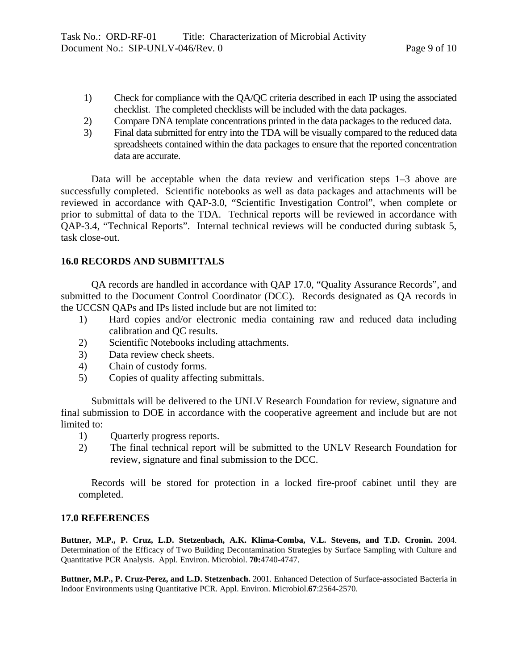- 1) Check for compliance with the QA/QC criteria described in each IP using the associated checklist. The completed checklists will be included with the data packages.
- 2) Compare DNA template concentrations printed in the data packages to the reduced data.
- 3) Final data submitted for entry into the TDA will be visually compared to the reduced data spreadsheets contained within the data packages to ensure that the reported concentration data are accurate.

 Data will be acceptable when the data review and verification steps 1–3 above are successfully completed. Scientific notebooks as well as data packages and attachments will be reviewed in accordance with QAP-3.0, "Scientific Investigation Control", when complete or prior to submittal of data to the TDA. Technical reports will be reviewed in accordance with QAP-3.4, "Technical Reports". Internal technical reviews will be conducted during subtask 5, task close-out.

# **16.0 RECORDS AND SUBMITTALS**

QA records are handled in accordance with QAP 17.0, "Quality Assurance Records", and submitted to the Document Control Coordinator (DCC). Records designated as QA records in the UCCSN QAPs and IPs listed include but are not limited to:

- 1) Hard copies and/or electronic media containing raw and reduced data including calibration and QC results.
- 2) Scientific Notebooks including attachments.
- 3) Data review check sheets.
- 4) Chain of custody forms.
- 5) Copies of quality affecting submittals.

Submittals will be delivered to the UNLV Research Foundation for review, signature and final submission to DOE in accordance with the cooperative agreement and include but are not limited to:

- 1) Quarterly progress reports.
- 2) The final technical report will be submitted to the UNLV Research Foundation for review, signature and final submission to the DCC.

Records will be stored for protection in a locked fire-proof cabinet until they are completed.

## **17.0 REFERENCES**

**Buttner, M.P., P. Cruz, L.D. Stetzenbach, A.K. Klima-Comba, V.L. Stevens, and T.D. Cronin.** 2004. Determination of the Efficacy of Two Building Decontamination Strategies by Surface Sampling with Culture and Quantitative PCR Analysis. Appl. Environ. Microbiol. **70:**4740-4747.

**Buttner, M.P., P. Cruz-Perez, and L.D. Stetzenbach.** 2001. Enhanced Detection of Surface-associated Bacteria in Indoor Environments using Quantitative PCR. Appl. Environ. Microbiol.**67**:2564-2570.